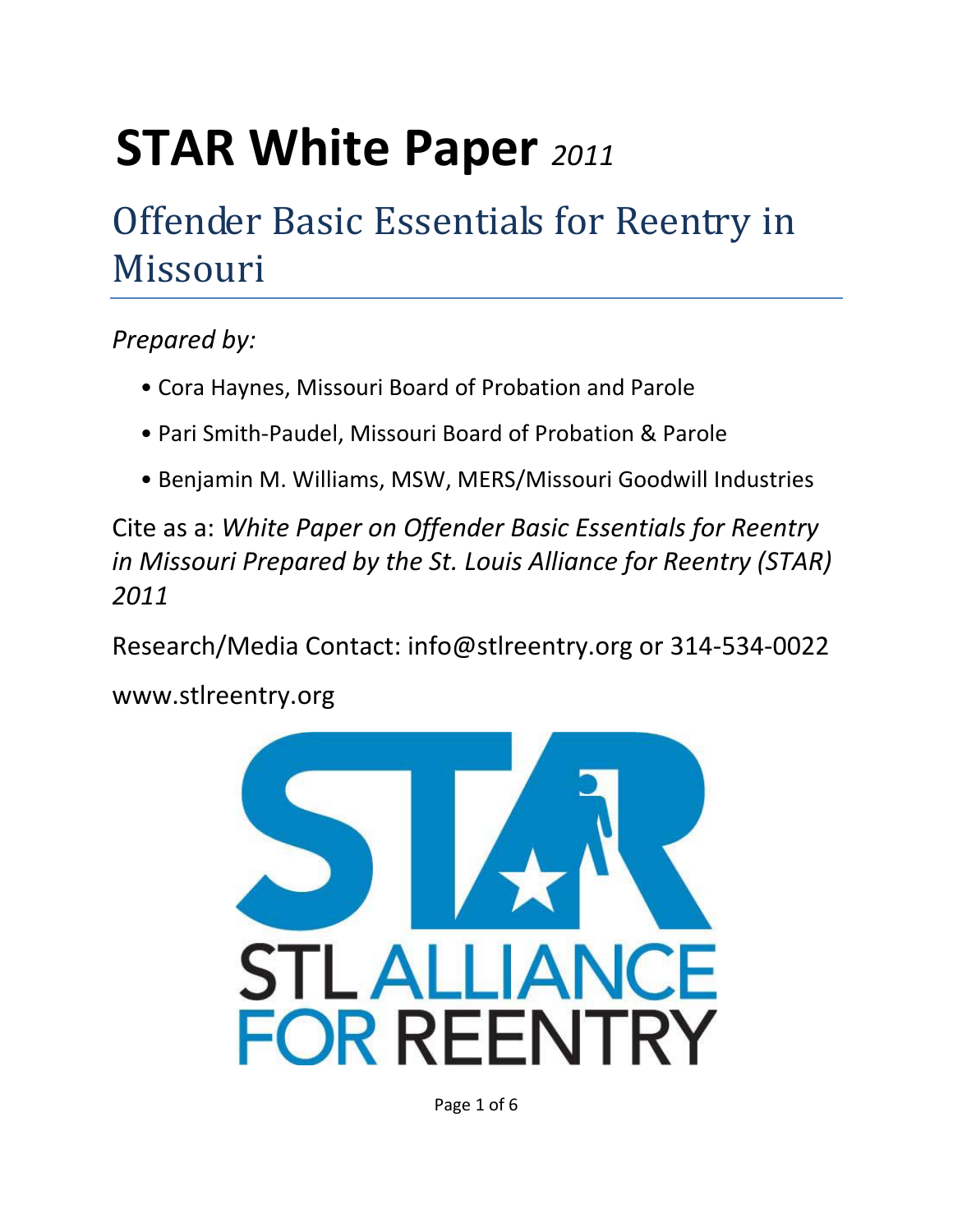# **STAR White Paper** *<sup>2011</sup>*

# Offender Basic Essentials for Reentry in Missouri

### *Prepared by:*

- Cora Haynes, Missouri Board of Probation and Parole
- Pari Smith-Paudel, Missouri Board of Probation & Parole
- Benjamin M. Williams, MSW, MERS/Missouri Goodwill Industries

Cite as a: *White Paper on Offender Basic Essentials for Reentry in Missouri Prepared by the St. Louis Alliance for Reentry (STAR) 2011*

Research/Media Contact: info@stlreentry.org or 314-534-0022

www.stlreentry.org



Page 1 of 6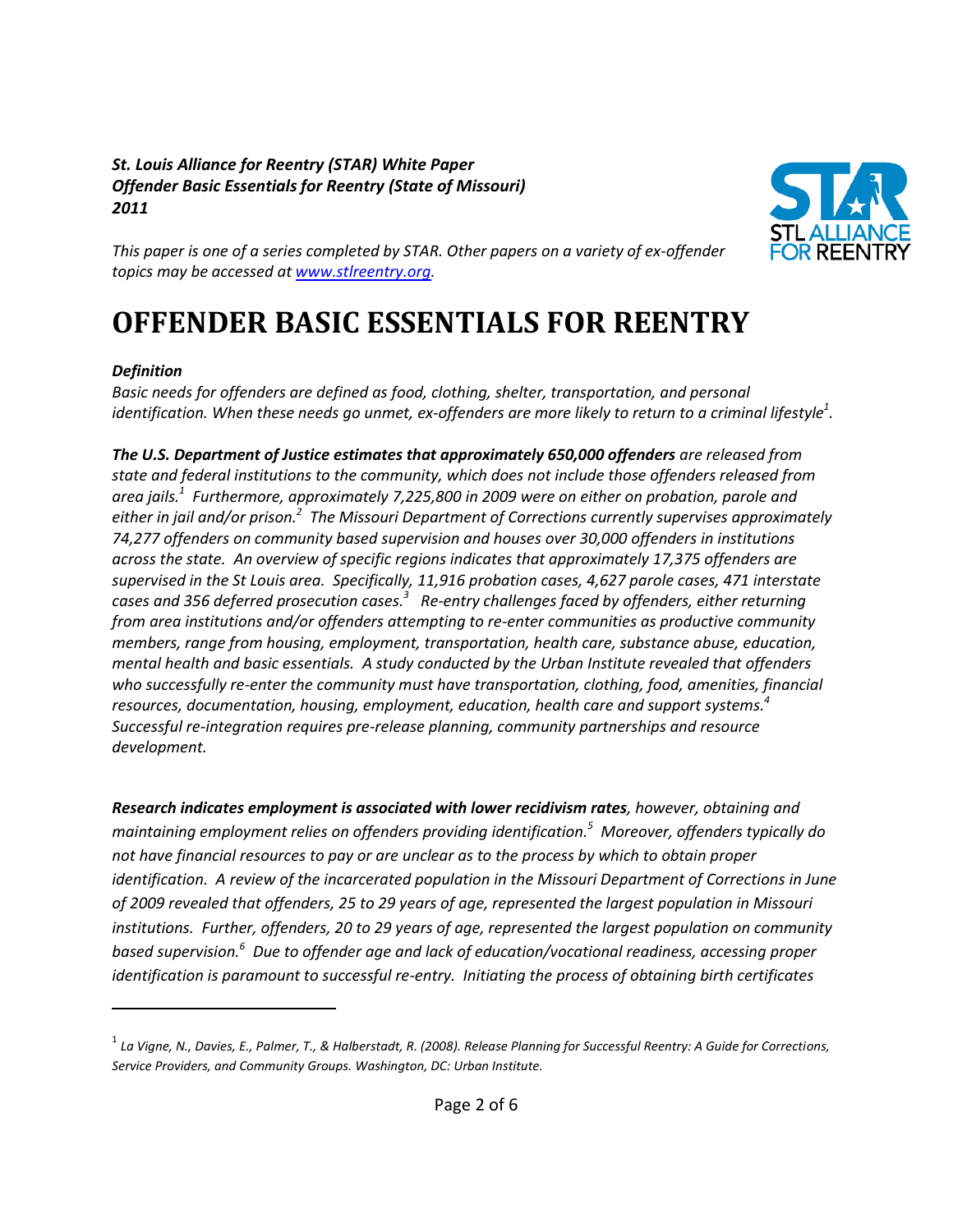#### *St. Louis Alliance for Reentry (STAR) White Paper Offender Basic Essentials for Reentry (State of Missouri) 2011*



*This paper is one of a series completed by STAR. Other papers on a variety of ex-offender topics may be accessed at [www.stlreentry.org.](http://www.stlreentry.org/)* 

## **OFFENDER BASIC ESSENTIALS FOR REENTRY**

#### *Definition*

 $\overline{\phantom{a}}$ 

*Basic needs for offenders are defined as food, clothing, shelter, transportation, and personal identification. When these needs go unmet, ex-offenders are more likely to return to a criminal lifestyle<sup>1</sup> .* 

*The U.S. Department of Justice estimates that approximately 650,000 offenders are released from state and federal institutions to the community, which does not include those offenders released from area jails. 1 Furthermore, approximately 7,225,800 in 2009 were on either on probation, parole and either in jail and/or prison.<sup>2</sup> The Missouri Department of Corrections currently supervises approximately 74,277 offenders on community based supervision and houses over 30,000 offenders in institutions across the state. An overview of specific regions indicates that approximately 17,375 offenders are supervised in the St Louis area. Specifically, 11,916 probation cases, 4,627 parole cases, 471 interstate cases and 356 deferred prosecution cases.<sup>3</sup> Re-entry challenges faced by offenders, either returning from area institutions and/or offenders attempting to re-enter communities as productive community members, range from housing, employment, transportation, health care, substance abuse, education, mental health and basic essentials. A study conducted by the Urban Institute revealed that offenders who successfully re-enter the community must have transportation, clothing, food, amenities, financial resources, documentation, housing, employment, education, health care and support systems.<sup>4</sup> Successful re-integration requires pre-release planning, community partnerships and resource development.* 

*Research indicates employment is associated with lower recidivism rates, however, obtaining and maintaining employment relies on offenders providing identification.<sup>5</sup> Moreover, offenders typically do not have financial resources to pay or are unclear as to the process by which to obtain proper identification. A review of the incarcerated population in the Missouri Department of Corrections in June of 2009 revealed that offenders, 25 to 29 years of age, represented the largest population in Missouri institutions. Further, offenders, 20 to 29 years of age, represented the largest population on community based supervision. 6 Due to offender age and lack of education/vocational readiness, accessing proper identification is paramount to successful re-entry. Initiating the process of obtaining birth certificates* 

<sup>&</sup>lt;sup>1</sup> La Vigne, N., Davies, E., Palmer, T., & Halberstadt, R. (2008). Release Planning for Successful Reentry: A Guide for Corrections, *Service Providers, and Community Groups. Washington, DC: Urban Institute.*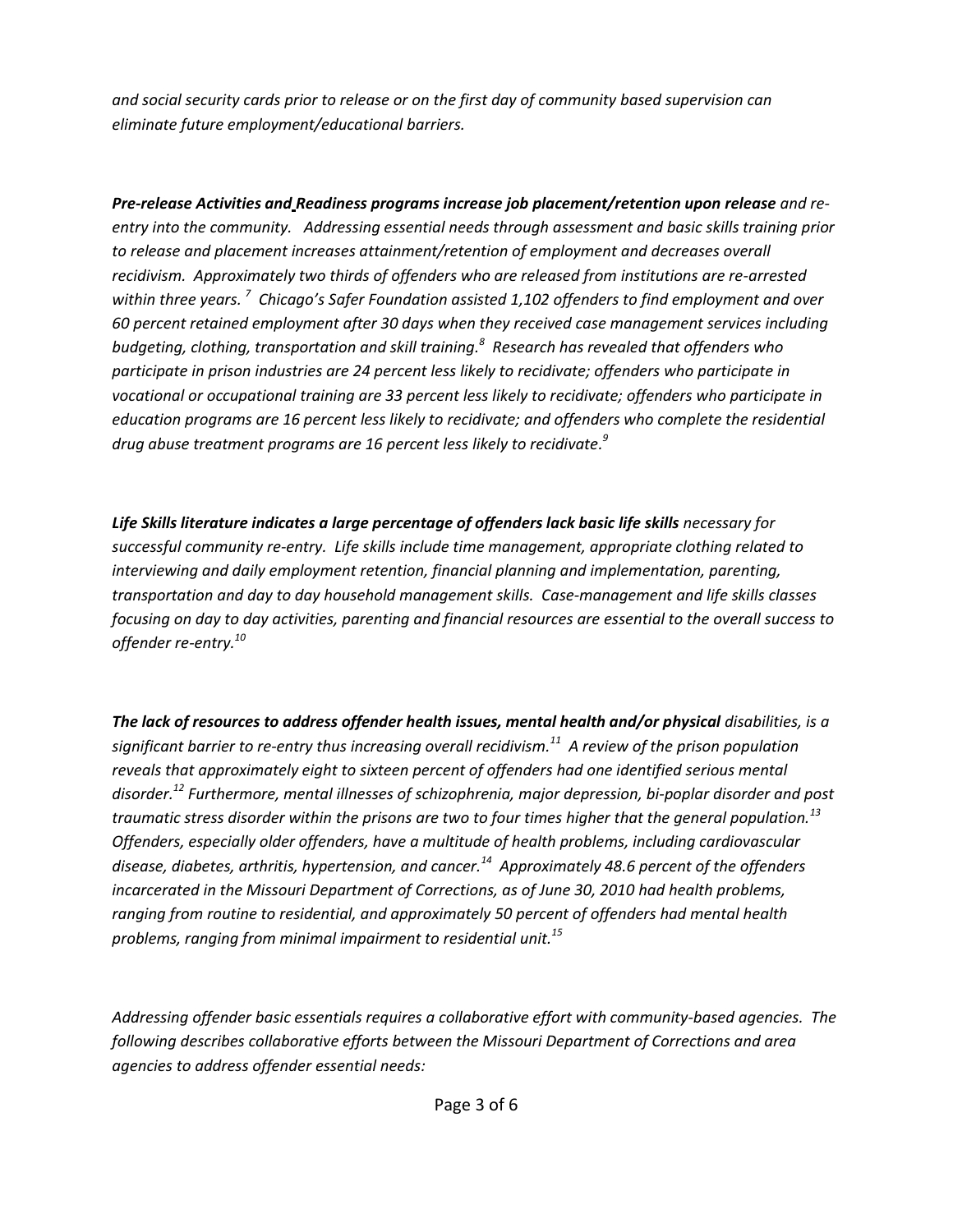*and social security cards prior to release or on the first day of community based supervision can eliminate future employment/educational barriers.* 

*Pre-release Activities and Readiness programs increase job placement/retention upon release and reentry into the community. Addressing essential needs through assessment and basic skills training prior*  to release and placement increases attainment/retention of employment and decreases overall *recidivism. Approximately two thirds of offenders who are released from institutions are re-arrested within three years. <sup>7</sup> Chicago's Safer Foundation assisted 1,102 offenders to find employment and over 60 percent retained employment after 30 days when they received case management services including budgeting, clothing, transportation and skill training. 8 Research has revealed that offenders who participate in prison industries are 24 percent less likely to recidivate; offenders who participate in vocational or occupational training are 33 percent less likely to recidivate; offenders who participate in education programs are 16 percent less likely to recidivate; and offenders who complete the residential drug abuse treatment programs are 16 percent less likely to recidivate. 9* 

Life Skills literature indicates a large percentage of offenders lack basic life skills necessary for *successful community re-entry. Life skills include time management, appropriate clothing related to interviewing and daily employment retention, financial planning and implementation, parenting, transportation and day to day household management skills. Case-management and life skills classes focusing on day to day activities, parenting and financial resources are essential to the overall success to offender re-entry.<sup>10</sup>*

*The lack of resources to address offender health issues, mental health and/or physical disabilities, is a significant barrier to re-entry thus increasing overall recidivism.<sup>11</sup> A review of the prison population reveals that approximately eight to sixteen percent of offenders had one identified serious mental disorder.<sup>12</sup> Furthermore, mental illnesses of schizophrenia, major depression, bi-poplar disorder and post traumatic stress disorder within the prisons are two to four times higher that the general population.<sup>13</sup> Offenders, especially older offenders, have a multitude of health problems, including cardiovascular disease, diabetes, arthritis, hypertension, and cancer.<sup>14</sup> Approximately 48.6 percent of the offenders incarcerated in the Missouri Department of Corrections, as of June 30, 2010 had health problems, ranging from routine to residential, and approximately 50 percent of offenders had mental health problems, ranging from minimal impairment to residential unit.<sup>15</sup>*

*Addressing offender basic essentials requires a collaborative effort with community-based agencies. The following describes collaborative efforts between the Missouri Department of Corrections and area agencies to address offender essential needs:*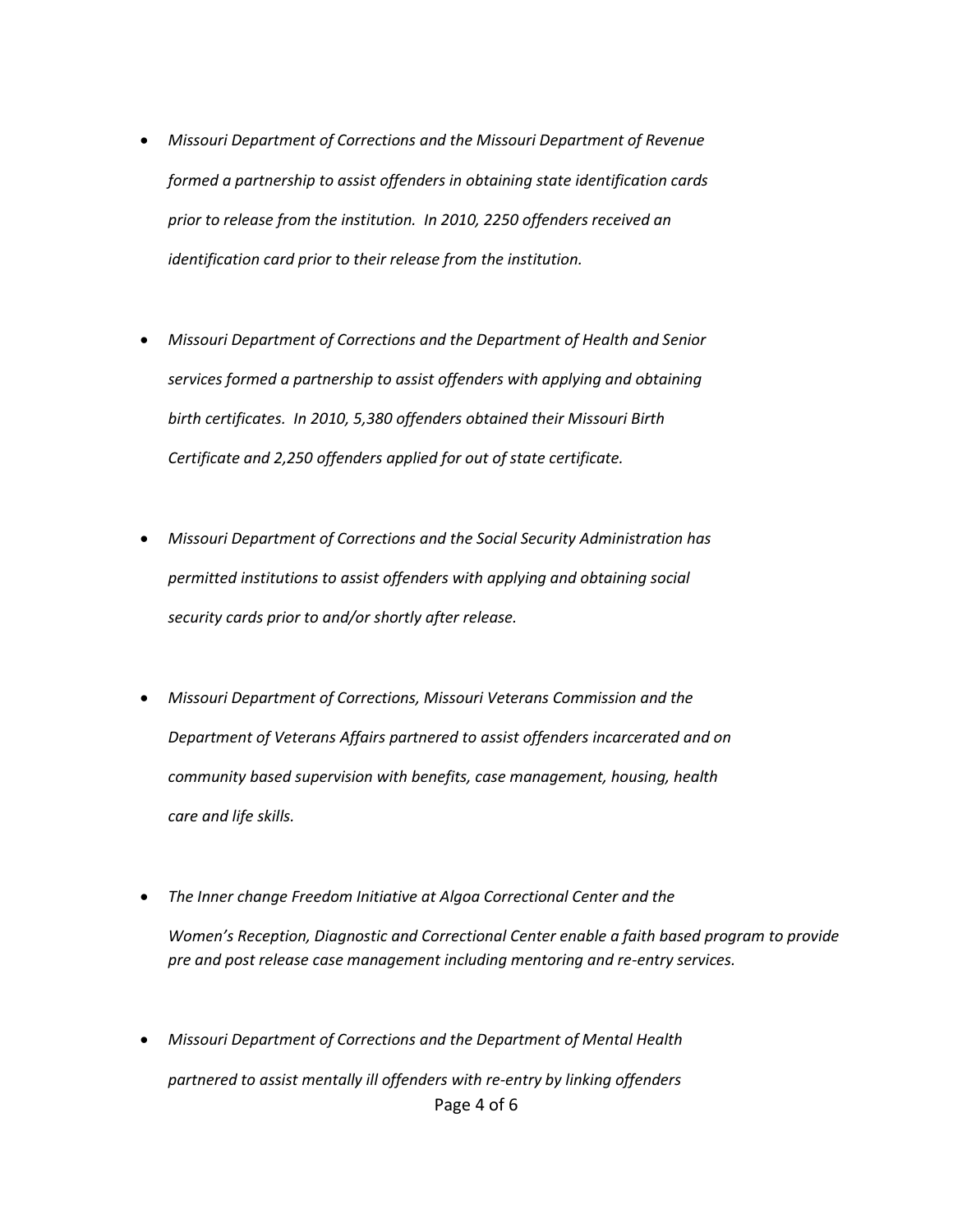- *Missouri Department of Corrections and the Missouri Department of Revenue formed a partnership to assist offenders in obtaining state identification cards prior to release from the institution. In 2010, 2250 offenders received an identification card prior to their release from the institution.*
- *Missouri Department of Corrections and the Department of Health and Senior services formed a partnership to assist offenders with applying and obtaining birth certificates. In 2010, 5,380 offenders obtained their Missouri Birth Certificate and 2,250 offenders applied for out of state certificate.*
- *Missouri Department of Corrections and the Social Security Administration has permitted institutions to assist offenders with applying and obtaining social security cards prior to and/or shortly after release.*
- *Missouri Department of Corrections, Missouri Veterans Commission and the Department of Veterans Affairs partnered to assist offenders incarcerated and on community based supervision with benefits, case management, housing, health care and life skills.*
- *The Inner change Freedom Initiative at Algoa Correctional Center and the Women's Reception, Diagnostic and Correctional Center enable a faith based program to provide pre and post release case management including mentoring and re-entry services.*
- Page 4 of 6 *Missouri Department of Corrections and the Department of Mental Health partnered to assist mentally ill offenders with re-entry by linking offenders*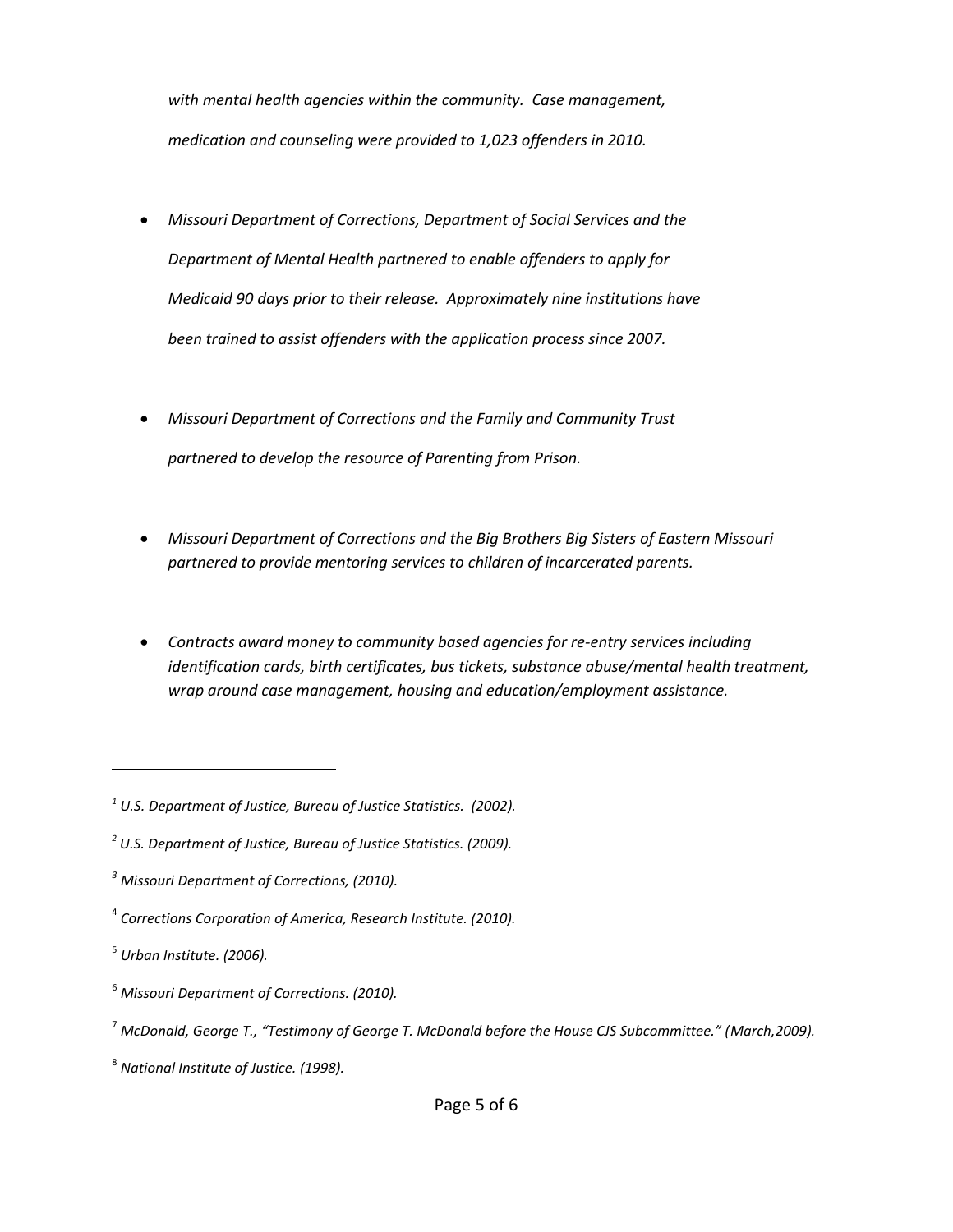*with mental health agencies within the community. Case management, medication and counseling were provided to 1,023 offenders in 2010.*

- *Missouri Department of Corrections, Department of Social Services and the Department of Mental Health partnered to enable offenders to apply for Medicaid 90 days prior to their release. Approximately nine institutions have been trained to assist offenders with the application process since 2007.*
- *Missouri Department of Corrections and the Family and Community Trust partnered to develop the resource of Parenting from Prison.*
- *Missouri Department of Corrections and the Big Brothers Big Sisters of Eastern Missouri partnered to provide mentoring services to children of incarcerated parents.*
- *Contracts award money to community based agencies for re-entry services including identification cards, birth certificates, bus tickets, substance abuse/mental health treatment, wrap around case management, housing and education/employment assistance.*

 $\overline{\phantom{a}}$ 

*<sup>1</sup> U.S. Department of Justice, Bureau of Justice Statistics. (2002).*

*<sup>2</sup> U.S. Department of Justice, Bureau of Justice Statistics. (2009).*

*<sup>3</sup> Missouri Department of Corrections, (2010).*

<sup>4</sup> *Corrections Corporation of America, Research Institute. (2010).*

<sup>5</sup> *Urban Institute. (2006).*

<sup>6</sup> *Missouri Department of Corrections. (2010).*

<sup>7</sup> *McDonald, George T., "Testimony of George T. McDonald before the House CJS Subcommittee." (March,2009).*

<sup>8</sup> *National Institute of Justice. (1998).*